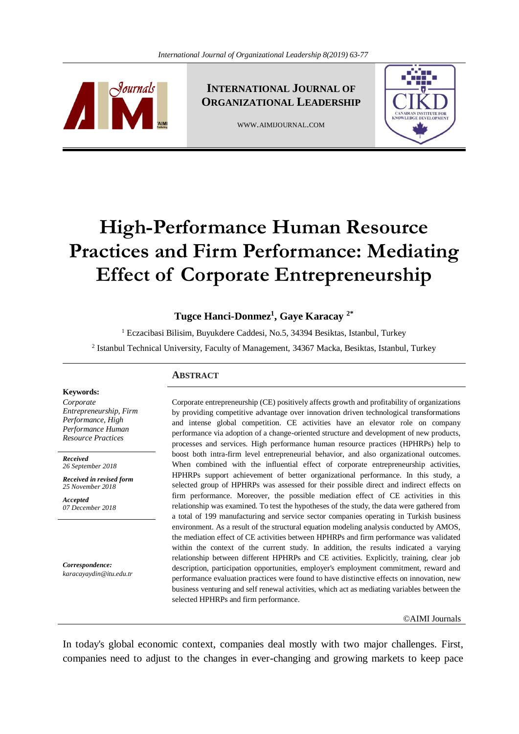

**INTERNATIONAL JOURNAL OF ORGANIZATIONAL LEADERSHIP**

WWW.AIMIJOURNAL.COM



# **High-Performance Human Resource Practices and Firm Performance: Mediating Effect of Corporate Entrepreneurship**

# **Tugce Hanci-Donmez<sup>1</sup> , Gaye Karacay 2\***

<sup>1</sup> Eczacibasi Bilisim, Buyukdere Caddesi, No.5, 34394 Besiktas, Istanbul, Turkey <sup>2</sup> Istanbul Technical University, Faculty of Management, 34367 Macka, Besiktas, Istanbul, Turkey

#### **ABSTRACT**

Corporate entrepreneurship (CE) positively affects growth and profitability of organizations by providing competitive advantage over innovation driven technological transformations and intense global competition. CE activities have an elevator role on company performance via adoption of a change-oriented structure and development of new products, processes and services. High performance human resource practices (HPHRPs) help to boost both intra-firm level entrepreneurial behavior, and also organizational outcomes. When combined with the influential effect of corporate entrepreneurship activities, HPHRPs support achievement of better organizational performance. In this study, a selected group of HPHRPs was assessed for their possible direct and indirect effects on firm performance. Moreover, the possible mediation effect of CE activities in this relationship was examined. To test the hypotheses of the study, the data were gathered from a total of 199 manufacturing and service sector companies operating in Turkish business environment. As a result of the structural equation modeling analysis conducted by AMOS, the mediation effect of CE activities between HPHRPs and firm performance was validated within the context of the current study. In addition, the results indicated a varying relationship between different HPHRPs and CE activities. Explicitly, training, clear job description, participation opportunities, employer's employment commitment, reward and performance evaluation practices were found to have distinctive effects on innovation, new business venturing and self renewal activities, which act as mediating variables between the selected HPHRPs and firm performance.

#### ©AIMI Journals

In today's global economic context, companies deal mostly with two major challenges. First, companies need to adjust to the changes in ever-changing and growing markets to keep pace

#### **Keywords:**

*Corporate Entrepreneurship, Firm Performance, High Performance Human Resource Practices*

*Received 26 September 2018*

*Received in revised form 25 November 2018*

*Accepted 07 December 2018*

*Correspondence: karacayaydin@itu.edu.tr*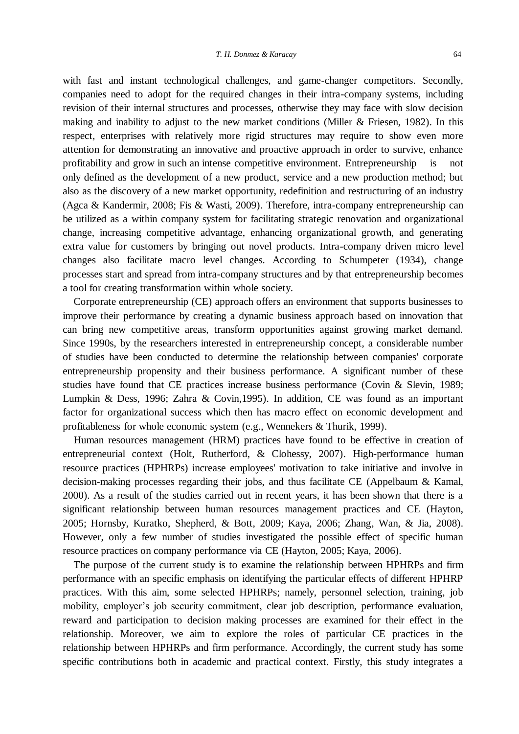with fast and instant technological challenges, and game-changer competitors. Secondly, companies need to adopt for the required changes in their intra-company systems, including revision of their internal structures and processes, otherwise they may face with slow decision making and inability to adjust to the new market conditions (Miller & Friesen, 1982). In this respect, enterprises with relatively more rigid structures may require to show even more attention for demonstrating an innovative and proactive approach in order to survive, enhance profitability and grow in such an intense competitive environment. Entrepreneurship is not only defined as the development of a new product, service and a new production method; but also as the discovery of a new market opportunity, redefinition and restructuring of an industry (Agca & Kandermir, 2008; Fis & Wasti, 2009). Therefore, intra-company entrepreneurship can be utilized as a within company system for facilitating strategic renovation and organizational change, increasing competitive advantage, enhancing organizational growth, and generating extra value for customers by bringing out novel products. Intra-company driven micro level changes also facilitate macro level changes. According to Schumpeter (1934), change processes start and spread from intra-company structures and by that entrepreneurship becomes a tool for creating transformation within whole society.

 Corporate entrepreneurship (CE) approach offers an environment that supports businesses to improve their performance by creating a dynamic business approach based on innovation that can bring new competitive areas, transform opportunities against growing market demand. Since 1990s, by the researchers interested in entrepreneurship concept, a considerable number of studies have been conducted to determine the relationship between companies' corporate entrepreneurship propensity and their business performance. A significant number of these studies have found that CE practices increase business performance (Covin & Slevin, 1989; Lumpkin & Dess, 1996; Zahra & Covin,1995). In addition, CE was found as an important factor for organizational success which then has macro effect on economic development and profitableness for whole economic system (e.g., Wennekers & Thurik, 1999).

 Human resources management (HRM) practices have found to be effective in creation of entrepreneurial context (Holt, Rutherford, & Clohessy, 2007). High-performance human resource practices (HPHRPs) increase employees' motivation to take initiative and involve in decision-making processes regarding their jobs, and thus facilitate CE (Appelbaum & Kamal, 2000). As a result of the studies carried out in recent years, it has been shown that there is a significant relationship between human resources management practices and CE (Hayton, 2005; Hornsby, Kuratko, Shepherd, & Bott, 2009; Kaya, 2006; Zhang, Wan, & Jia, 2008). However, only a few number of studies investigated the possible effect of specific human resource practices on company performance via CE (Hayton, 2005; Kaya, 2006).

 The purpose of the current study is to examine the relationship between HPHRPs and firm performance with an specific emphasis on identifying the particular effects of different HPHRP practices. With this aim, some selected HPHRPs; namely, personnel selection, training, job mobility, employer's job security commitment, clear job description, performance evaluation, reward and participation to decision making processes are examined for their effect in the relationship. Moreover, we aim to explore the roles of particular CE practices in the relationship between HPHRPs and firm performance. Accordingly, the current study has some specific contributions both in academic and practical context. Firstly, this study integrates a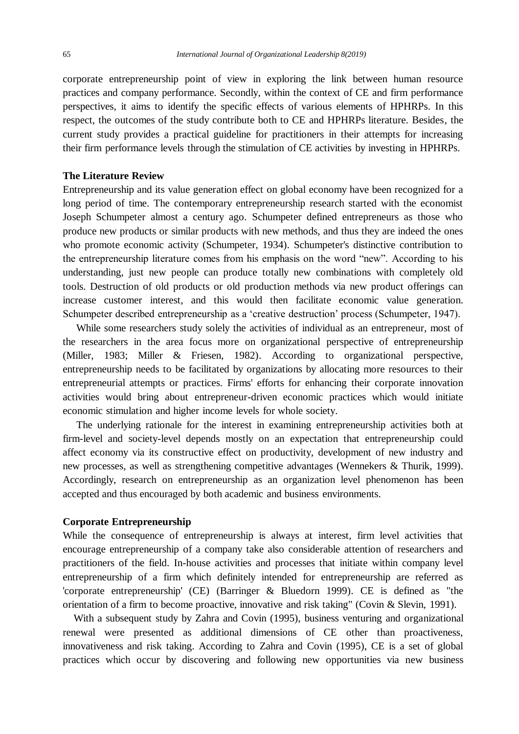corporate entrepreneurship point of view in exploring the link between human resource practices and company performance. Secondly, within the context of CE and firm performance perspectives, it aims to identify the specific effects of various elements of HPHRPs. In this respect, the outcomes of the study contribute both to CE and HPHRPs literature. Besides, the current study provides a practical guideline for practitioners in their attempts for increasing their firm performance levels through the stimulation of CE activities by investing in HPHRPs.

#### **The Literature Review**

Entrepreneurship and its value generation effect on global economy have been recognized for a long period of time. The contemporary entrepreneurship research started with the economist Joseph Schumpeter almost a century ago. Schumpeter defined entrepreneurs as those who produce new products or similar products with new methods, and thus they are indeed the ones who promote economic activity (Schumpeter, 1934). Schumpeter's distinctive contribution to the entrepreneurship literature comes from his emphasis on the word "new". According to his understanding, just new people can produce totally new combinations with completely old tools. Destruction of old products or old production methods via new product offerings can increase customer interest, and this would then facilitate economic value generation. Schumpeter described entrepreneurship as a 'creative destruction' process (Schumpeter, 1947).

 While some researchers study solely the activities of individual as an entrepreneur, most of the researchers in the area focus more on organizational perspective of entrepreneurship (Miller, 1983; Miller & Friesen, 1982). According to organizational perspective, entrepreneurship needs to be facilitated by organizations by allocating more resources to their entrepreneurial attempts or practices. Firms' efforts for enhancing their corporate innovation activities would bring about entrepreneur-driven economic practices which would initiate economic stimulation and higher income levels for whole society.

 The underlying rationale for the interest in examining entrepreneurship activities both at firm-level and society-level depends mostly on an expectation that entrepreneurship could affect economy via its constructive effect on productivity, development of new industry and new processes, as well as strengthening competitive advantages (Wennekers & Thurik, 1999). Accordingly, research on entrepreneurship as an organization level phenomenon has been accepted and thus encouraged by both academic and business environments.

## **Corporate Entrepreneurship**

While the consequence of entrepreneurship is always at interest, firm level activities that encourage entrepreneurship of a company take also considerable attention of researchers and practitioners of the field. In-house activities and processes that initiate within company level entrepreneurship of a firm which definitely intended for entrepreneurship are referred as 'corporate entrepreneurship' (CE) (Barringer & Bluedorn 1999). CE is defined as "the orientation of a firm to become proactive, innovative and risk taking" (Covin & Slevin, 1991).

With a subsequent study by Zahra and Covin (1995), business venturing and organizational renewal were presented as additional dimensions of CE other than proactiveness, innovativeness and risk taking. According to Zahra and Covin (1995), CE is a set of global practices which occur by discovering and following new opportunities via new business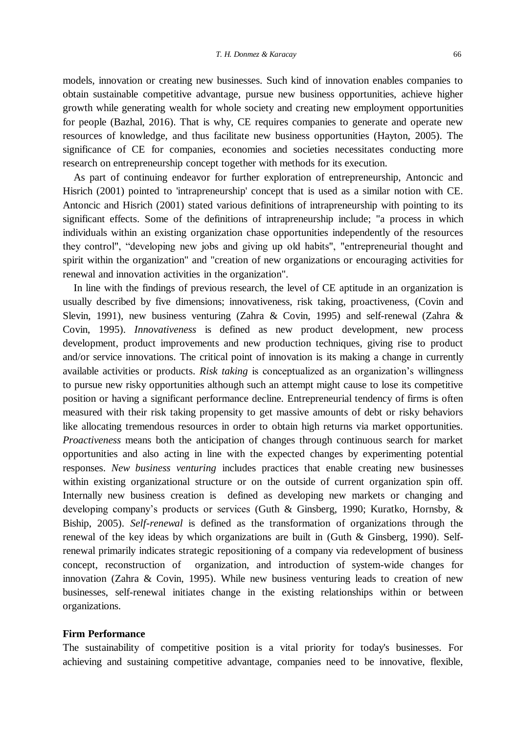models, innovation or creating new businesses. Such kind of innovation enables companies to obtain sustainable competitive advantage, pursue new business opportunities, achieve higher growth while generating wealth for whole society and creating new employment opportunities for people (Bazhal, 2016). That is why, CE requires companies to generate and operate new resources of knowledge, and thus facilitate new business opportunities (Hayton, 2005). The significance of CE for companies, economies and societies necessitates conducting more research on entrepreneurship concept together with methods for its execution.

 As part of continuing endeavor for further exploration of entrepreneurship, Antoncic and Hisrich (2001) pointed to 'intrapreneurship' concept that is used as a similar notion with CE. Antoncic and Hisrich (2001) stated various definitions of intrapreneurship with pointing to its significant effects. Some of the definitions of intrapreneurship include; "a process in which individuals within an existing organization chase opportunities independently of the resources they control", "developing new jobs and giving up old habits", "entrepreneurial thought and spirit within the organization" and "creation of new organizations or encouraging activities for renewal and innovation activities in the organization".

 In line with the findings of previous research, the level of CE aptitude in an organization is usually described by five dimensions; innovativeness, risk taking, proactiveness, (Covin and Slevin, 1991), new business venturing (Zahra & Covin, 1995) and self-renewal (Zahra & Covin, 1995). *Innovativeness* is defined as new product development, new process development, product improvements and new production techniques, giving rise to product and/or service innovations. The critical point of innovation is its making a change in currently available activities or products. *Risk taking* is conceptualized as an organization's willingness to pursue new risky opportunities although such an attempt might cause to lose its competitive position or having a significant performance decline. Entrepreneurial tendency of firms is often measured with their risk taking propensity to get massive amounts of debt or risky behaviors like allocating tremendous resources in order to obtain high returns via market opportunities. *Proactiveness* means both the anticipation of changes through continuous search for market opportunities and also acting in line with the expected changes by experimenting potential responses. *New business venturing* includes practices that enable creating new businesses within existing organizational structure or on the outside of current organization spin off. Internally new business creation is defined as developing new markets or changing and developing company's products or services (Guth & Ginsberg, 1990; Kuratko, Hornsby, & Biship, 2005). *Self-renewal* is defined as the transformation of organizations through the renewal of the key ideas by which organizations are built in (Guth & Ginsberg, 1990). Selfrenewal primarily indicates strategic repositioning of a company via redevelopment of business concept, reconstruction of organization, and introduction of system-wide changes for innovation (Zahra & Covin, 1995). While new business venturing leads to creation of new businesses, self-renewal initiates change in the existing relationships within or between organizations.

## **Firm Performance**

The sustainability of competitive position is a vital priority for today's businesses. For achieving and sustaining competitive advantage, companies need to be innovative, flexible,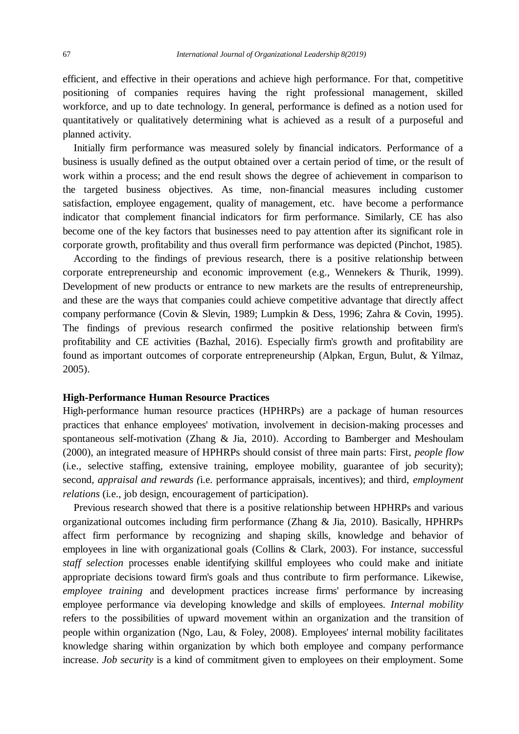efficient, and effective in their operations and achieve high performance. For that, competitive positioning of companies requires having the right professional management, skilled workforce, and up to date technology. In general, performance is defined as a notion used for quantitatively or qualitatively determining what is achieved as a result of a purposeful and planned activity.

 Initially firm performance was measured solely by financial indicators. Performance of a business is usually defined as the output obtained over a certain period of time, or the result of work within a process; and the end result shows the degree of achievement in comparison to the targeted business objectives. As time, non-financial measures including customer satisfaction, employee engagement, quality of management, etc. have become a performance indicator that complement financial indicators for firm performance. Similarly, CE has also become one of the key factors that businesses need to pay attention after its significant role in corporate growth, profitability and thus overall firm performance was depicted (Pinchot, 1985).

 According to the findings of previous research, there is a positive relationship between corporate entrepreneurship and economic improvement (e.g., Wennekers & Thurik, 1999). Development of new products or entrance to new markets are the results of entrepreneurship, and these are the ways that companies could achieve competitive advantage that directly affect company performance (Covin & Slevin, 1989; Lumpkin & Dess, 1996; Zahra & Covin, 1995). The findings of previous research confirmed the positive relationship between firm's profitability and CE activities (Bazhal, 2016). Especially firm's growth and profitability are found as important outcomes of corporate entrepreneurship (Alpkan, Ergun, Bulut, & Yilmaz, 2005).

## **High-Performance Human Resource Practices**

High-performance human resource practices (HPHRPs) are a package of human resources practices that enhance employees' motivation, involvement in decision-making processes and spontaneous self-motivation (Zhang & Jia, 2010). According to Bamberger and Meshoulam (2000), an integrated measure of HPHRPs should consist of three main parts: First, *people flow* (i.e., selective staffing, extensive training, employee mobility, guarantee of job security); second, *appraisal and rewards (*i.e. performance appraisals, incentives); and third, *employment relations* (i.e., job design, encouragement of participation).

 Previous research showed that there is a positive relationship between HPHRPs and various organizational outcomes including firm performance (Zhang & Jia, 2010). Basically, HPHRPs affect firm performance by recognizing and shaping skills, knowledge and behavior of employees in line with organizational goals (Collins & Clark, 2003). For instance, successful *staff selection* processes enable identifying skillful employees who could make and initiate appropriate decisions toward firm's goals and thus contribute to firm performance. Likewise, *employee training* and development practices increase firms' performance by increasing employee performance via developing knowledge and skills of employees. *Internal mobility* refers to the possibilities of upward movement within an organization and the transition of people within organization (Ngo, Lau, & Foley, 2008). Employees' internal mobility facilitates knowledge sharing within organization by which both employee and company performance increase. *Job security* is a kind of commitment given to employees on their employment. Some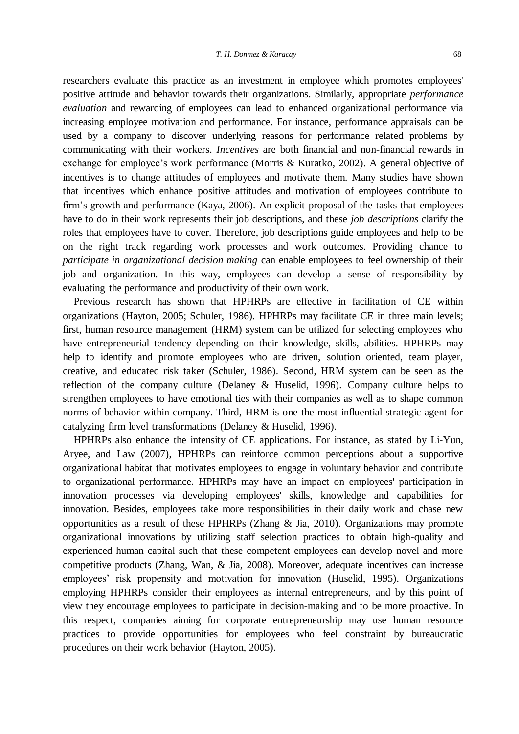researchers evaluate this practice as an investment in employee which promotes employees' positive attitude and behavior towards their organizations. Similarly, appropriate *performance evaluation* and rewarding of employees can lead to enhanced organizational performance via increasing employee motivation and performance. For instance, performance appraisals can be used by a company to discover underlying reasons for performance related problems by communicating with their workers. *Incentives* are both financial and non-financial rewards in exchange for employee's work performance (Morris & Kuratko, 2002). A general objective of incentives is to change attitudes of employees and motivate them. Many studies have shown that incentives which enhance positive attitudes and motivation of employees contribute to firm's growth and performance (Kaya, 2006). An explicit proposal of the tasks that employees have to do in their work represents their job descriptions, and these *job descriptions* clarify the roles that employees have to cover. Therefore, job descriptions guide employees and help to be on the right track regarding work processes and work outcomes. Providing chance to *participate in organizational decision making* can enable employees to feel ownership of their job and organization. In this way, employees can develop a sense of responsibility by evaluating the performance and productivity of their own work.

 Previous research has shown that HPHRPs are effective in facilitation of CE within organizations (Hayton, 2005; Schuler, 1986). HPHRPs may facilitate CE in three main levels; first, human resource management (HRM) system can be utilized for selecting employees who have entrepreneurial tendency depending on their knowledge, skills, abilities. HPHRPs may help to identify and promote employees who are driven, solution oriented, team player, creative, and educated risk taker (Schuler, 1986). Second, HRM system can be seen as the reflection of the company culture (Delaney & Huselid, 1996). Company culture helps to strengthen employees to have emotional ties with their companies as well as to shape common norms of behavior within company. Third, HRM is one the most influential strategic agent for catalyzing firm level transformations (Delaney & Huselid, 1996).

 HPHRPs also enhance the intensity of CE applications. For instance, as stated by Li-Yun, Aryee, and Law (2007), HPHRPs can reinforce common perceptions about a supportive organizational habitat that motivates employees to engage in voluntary behavior and contribute to organizational performance. HPHRPs may have an impact on employees' participation in innovation processes via developing employees' skills, knowledge and capabilities for innovation. Besides, employees take more responsibilities in their daily work and chase new opportunities as a result of these HPHRPs (Zhang & Jia, 2010). Organizations may promote organizational innovations by utilizing staff selection practices to obtain high-quality and experienced human capital such that these competent employees can develop novel and more competitive products (Zhang, Wan, & Jia, 2008). Moreover, adequate incentives can increase employees' risk propensity and motivation for innovation (Huselid, 1995). Organizations employing HPHRPs consider their employees as internal entrepreneurs, and by this point of view they encourage employees to participate in decision-making and to be more proactive. In this respect, companies aiming for corporate entrepreneurship may use human resource practices to provide opportunities for employees who feel constraint by bureaucratic procedures on their work behavior (Hayton, 2005).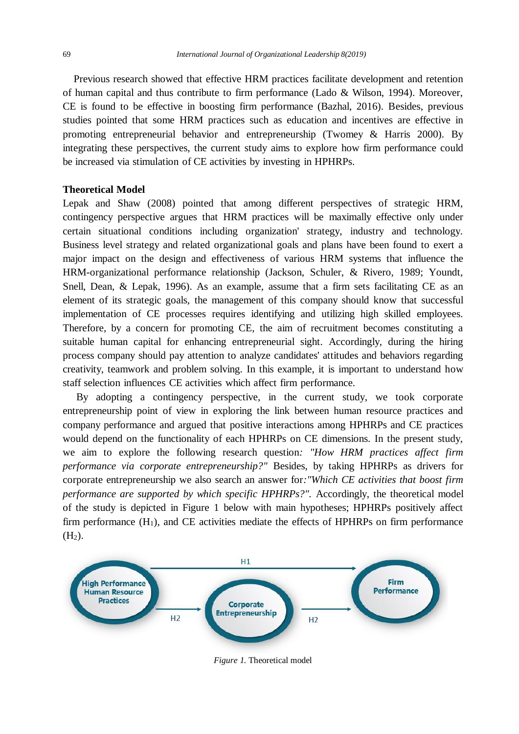Previous research showed that effective HRM practices facilitate development and retention of human capital and thus contribute to firm performance (Lado & Wilson, 1994). Moreover, CE is found to be effective in boosting firm performance (Bazhal, 2016). Besides, previous studies pointed that some HRM practices such as education and incentives are effective in promoting entrepreneurial behavior and entrepreneurship (Twomey & Harris 2000). By integrating these perspectives, the current study aims to explore how firm performance could be increased via stimulation of CE activities by investing in HPHRPs.

## **Theoretical Model**

Lepak and Shaw (2008) pointed that among different perspectives of strategic HRM, contingency perspective argues that HRM practices will be maximally effective only under certain situational conditions including organization' strategy, industry and technology. Business level strategy and related organizational goals and plans have been found to exert a major impact on the design and effectiveness of various HRM systems that influence the HRM-organizational performance relationship (Jackson, Schuler, & Rivero, 1989; Youndt, Snell, Dean, & Lepak, 1996). As an example, assume that a firm sets facilitating CE as an element of its strategic goals, the management of this company should know that successful implementation of CE processes requires identifying and utilizing high skilled employees. Therefore, by a concern for promoting CE, the aim of recruitment becomes constituting a suitable human capital for enhancing entrepreneurial sight. Accordingly, during the hiring process company should pay attention to analyze candidates' attitudes and behaviors regarding creativity, teamwork and problem solving. In this example, it is important to understand how staff selection influences CE activities which affect firm performance.

 By adopting a contingency perspective, in the current study, we took corporate entrepreneurship point of view in exploring the link between human resource practices and company performance and argued that positive interactions among HPHRPs and CE practices would depend on the functionality of each HPHRPs on CE dimensions. In the present study, we aim to explore the following research question*: "How HRM practices affect firm performance via corporate entrepreneurship?"* Besides, by taking HPHRPs as drivers for corporate entrepreneurship we also search an answer for*:"Which CE activities that boost firm performance are supported by which specific HPHRPs?".* Accordingly, the theoretical model of the study is depicted in Figure 1 below with main hypotheses; HPHRPs positively affect firm performance  $(H_1)$ , and CE activities mediate the effects of HPHRPs on firm performance  $(H<sub>2</sub>)$ .



*Figure 1.* Theoretical model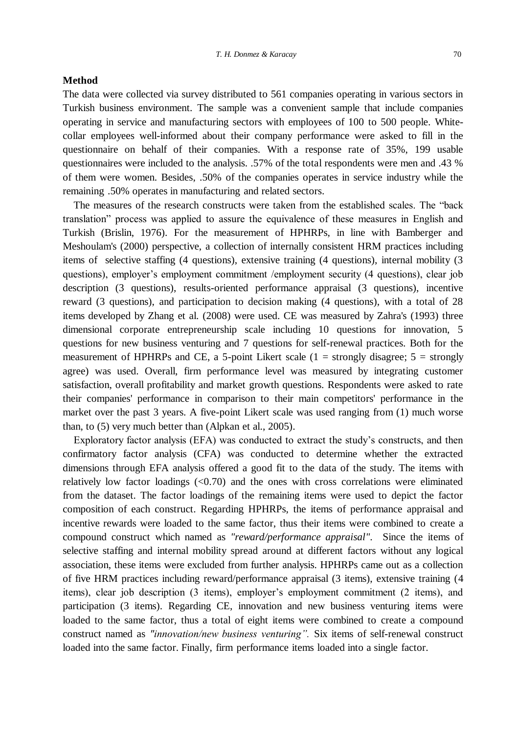#### **Method**

The data were collected via survey distributed to 561 companies operating in various sectors in Turkish business environment. The sample was a convenient sample that include companies operating in service and manufacturing sectors with employees of 100 to 500 people. Whitecollar employees well-informed about their company performance were asked to fill in the questionnaire on behalf of their companies. With a response rate of 35%, 199 usable questionnaires were included to the analysis. .57% of the total respondents were men and .43 % of them were women. Besides, .50% of the companies operates in service industry while the remaining .50% operates in manufacturing and related sectors.

 The measures of the research constructs were taken from the established scales. The "back translation" process was applied to assure the equivalence of these measures in English and Turkish (Brislin, 1976). For the measurement of HPHRPs, in line with Bamberger and Meshoulam's (2000) perspective, a collection of internally consistent HRM practices including items of selective staffing (4 questions), extensive training (4 questions), internal mobility (3 questions), employer's employment commitment /employment security (4 questions), clear job description (3 questions), results-oriented performance appraisal (3 questions), incentive reward (3 questions), and participation to decision making (4 questions), with a total of 28 items developed by Zhang et al. (2008) were used. CE was measured by Zahra's (1993) three dimensional corporate entrepreneurship scale including 10 questions for innovation, 5 questions for new business venturing and 7 questions for self-renewal practices. Both for the measurement of HPHRPs and CE, a 5-point Likert scale  $(1 =$  strongly disagree;  $5 =$  strongly agree) was used. Overall, firm performance level was measured by integrating customer satisfaction, overall profitability and market growth questions. Respondents were asked to rate their companies' performance in comparison to their main competitors' performance in the market over the past 3 years. A five-point Likert scale was used ranging from (1) much worse than, to (5) very much better than (Alpkan et al., 2005).

 Exploratory factor analysis (EFA) was conducted to extract the study's constructs, and then confirmatory factor analysis (CFA) was conducted to determine whether the extracted dimensions through EFA analysis offered a good fit to the data of the study. The items with relatively low factor loadings  $( $0.70$ ) and the ones with cross correlations were eliminated$ from the dataset. The factor loadings of the remaining items were used to depict the factor composition of each construct. Regarding HPHRPs, the items of performance appraisal and incentive rewards were loaded to the same factor, thus their items were combined to create a compound construct which named as *"reward/performance appraisal"*. Since the items of selective staffing and internal mobility spread around at different factors without any logical association, these items were excluded from further analysis. HPHRPs came out as a collection of five HRM practices including reward/performance appraisal (3 items), extensive training (4 items), clear job description (3 items), employer's employment commitment (2 items), and participation (3 items). Regarding CE, innovation and new business venturing items were loaded to the same factor, thus a total of eight items were combined to create a compound construct named as *"innovation/new business venturing".* Six items of self-renewal construct loaded into the same factor. Finally, firm performance items loaded into a single factor.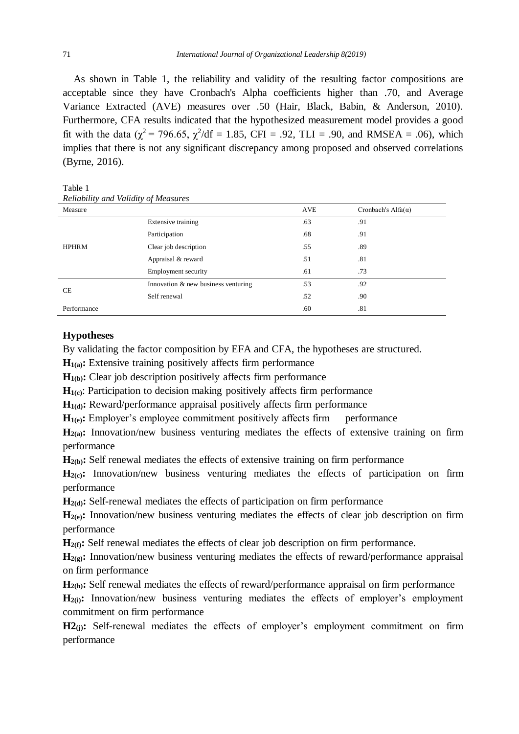As shown in Table 1, the reliability and validity of the resulting factor compositions are acceptable since they have Cronbach's Alpha coefficients higher than .70, and Average Variance Extracted (AVE) measures over .50 (Hair, Black, Babin, & Anderson, 2010). Furthermore, CFA results indicated that the hypothesized measurement model provides a good fit with the data ( $\chi^2$  = 796.65,  $\chi^2$ /df = 1.85, CFI = .92, TLI = .90, and RMSEA = .06), which implies that there is not any significant discrepancy among proposed and observed correlations (Byrne, 2016).

Table 1 *Reliability and Validity of Measures*

| Measure      |                                     | <b>AVE</b> | Cronbach's Alfa $(\alpha)$ |
|--------------|-------------------------------------|------------|----------------------------|
| <b>HPHRM</b> | Extensive training                  | .63        | .91                        |
|              | Participation                       | .68        | .91                        |
|              | Clear job description               | .55        | .89                        |
|              | Appraisal & reward                  | .51        | .81                        |
|              | Employment security                 | .61        | .73                        |
| <b>CE</b>    | Innovation & new business venturing | .53        | .92                        |
|              | Self renewal                        | .52        | .90                        |
| Performance  |                                     | .60        | .81                        |

#### **Hypotheses**

By validating the factor composition by EFA and CFA, the hypotheses are structured.

 $H<sub>1(a)</sub>$ : Extensive training positively affects firm performance

**H**<sub>1(b)</sub>: Clear job description positively affects firm performance

**H1(c)**: Participation to decision making positively affects firm performance

 $H_{1(d)}$ : Reward/performance appraisal positively affects firm performance

 $\mathbf{H}_{1(e)}$ : Employer's employee commitment positively affects firm performance

**H2(a):** Innovation/new business venturing mediates the effects of extensive training on firm performance

**H**<sub>2(b)</sub>: Self renewal mediates the effects of extensive training on firm performance

**H2(c):** Innovation/new business venturing mediates the effects of participation on firm performance

**H**<sub>2(d)</sub>: Self-renewal mediates the effects of participation on firm performance

**H2(e):** Innovation/new business venturing mediates the effects of clear job description on firm performance

**H2(f):** Self renewal mediates the effects of clear job description on firm performance.

**H2(g):** Innovation/new business venturing mediates the effects of reward/performance appraisal on firm performance

**H2(h):** Self renewal mediates the effects of reward/performance appraisal on firm performance

 $\mathbf{H}_{2(i)}$ : Innovation/new business venturing mediates the effects of employer's employment commitment on firm performance

**H2**(i): Self-renewal mediates the effects of employer's employment commitment on firm performance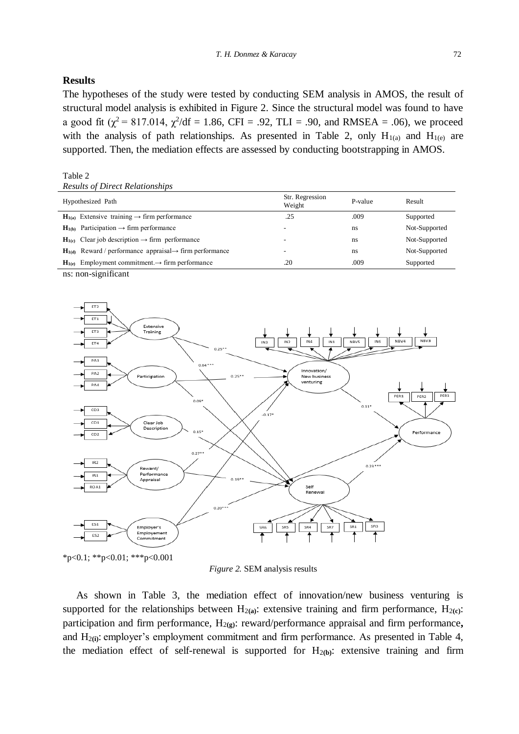#### **Results**

The hypotheses of the study were tested by conducting SEM analysis in AMOS, the result of structural model analysis is exhibited in Figure 2. Since the structural model was found to have a good fit  $(\chi^2 = 817.014, \chi^2/df = 1.86, CFI = .92, TLI = .90, and RMSEA = .06)$ , we proceed with the analysis of path relationships. As presented in Table 2, only  $H_{1(a)}$  and  $H_{1(e)}$  are supported. Then, the mediation effects are assessed by conducting bootstrapping in AMOS.

#### Table 2

| Hypothesized Path |                                                                          | Str. Regression<br>Weight | P-value | Result        |
|-------------------|--------------------------------------------------------------------------|---------------------------|---------|---------------|
|                   | $H_{1(a)}$ Extensive training $\rightarrow$ firm performance             | .25                       | .009    | Supported     |
|                   | $H_{1(b)}$ Participation $\rightarrow$ firm performance                  | $\overline{\phantom{0}}$  | ns      | Not-Supported |
|                   | $H_{1(c)}$ Clear job description $\rightarrow$ firm performance          | $\overline{\phantom{a}}$  | ns      | Not-Supported |
|                   | $H_{1(d)}$ Reward / performance appraisal $\rightarrow$ firm performance | $\overline{\phantom{a}}$  | ns      | Not-Supported |
|                   | $H_{1(e)}$ Employment commitment. $\rightarrow$ firm performance         | .20                       | .009    | Supported     |

ns: non-significant



\*p<0.1; \*\*p<0.01; \*\*\*p<0.001

*Figure 2.* SEM analysis results

 As shown in Table 3, the mediation effect of innovation/new business venturing is supported for the relationships between  $H_{2(a)}$ : extensive training and firm performance,  $H_{2(c)}$ : participation and firm performance, H<sub>2(g)</sub>: reward/performance appraisal and firm performance, and H<sub>2(i)</sub>: employer's employment commitment and firm performance. As presented in Table 4, the mediation effect of self-renewal is supported for  $H_{2(b)}$ : extensive training and firm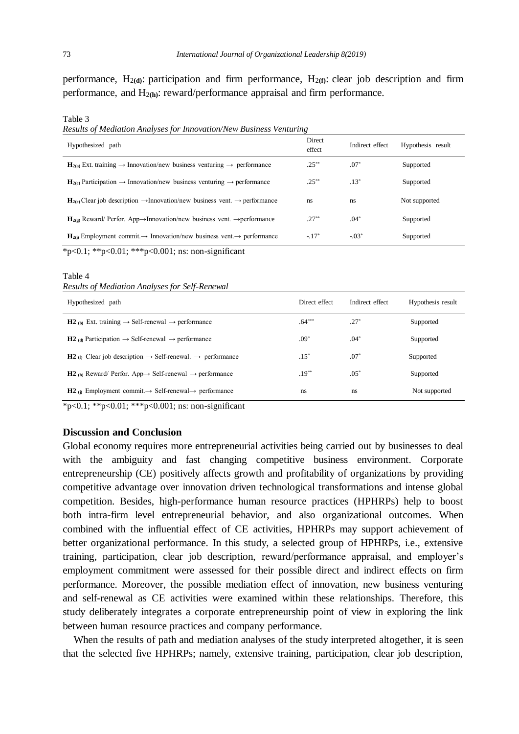performance,  $H_{2(d)}$ : participation and firm performance,  $H_{2(f)}$ : clear job description and firm performance, and H2**(h)**: reward/performance appraisal and firm performance.

Table 3

*Results of Mediation Analyses for Innovation/New Business Venturing*

| Hypothesized path                                                                                               | Direct<br>effect | Indirect effect | Hypothesis result |  |  |
|-----------------------------------------------------------------------------------------------------------------|------------------|-----------------|-------------------|--|--|
| $\mathbf{H}_{2(a)}$ Ext. training $\rightarrow$ Innovation/new business venturing $\rightarrow$ performance     | $.25***$         | $.07*$          | Supported         |  |  |
| $H_{2(c)}$ Participation $\rightarrow$ Innovation/new business venturing $\rightarrow$ performance              | $.25***$         | $.13*$          | Supported         |  |  |
| $\mathbf{H}_{2(e)}$ Clear job description $\rightarrow$ Innovation/new business vent. $\rightarrow$ performance | <sub>ns</sub>    | ns              | Not supported     |  |  |
| $H_{2(g)}$ Reward/ Perfor. App $\rightarrow$ Innovation/new business vent. $\rightarrow$ performance            | $.27***$         | $.04*$          | Supported         |  |  |
| $\mathbf{H}_{20}$ Employment commit $\rightarrow$ Innovation/new business vent $\rightarrow$ performance        | $-17*$           | $-0.03*$        | Supported         |  |  |
| *p<0.1; **p<0.01; ***p<0.001; ns: non-significant                                                               |                  |                 |                   |  |  |

Table 4 *Results of Mediation Analyses for Self-Renewal*

| Hypothesized path                                                                         | Direct effect | Indirect effect | Hypothesis result |
|-------------------------------------------------------------------------------------------|---------------|-----------------|-------------------|
| <b>H2</b> (b) Ext. training $\rightarrow$ Self-renewal $\rightarrow$ performance          | $.64***$      | $.27*$          | Supported         |
| <b>H2</b> (d) Participation $\rightarrow$ Self-renewal $\rightarrow$ performance          | $.09*$        | $.04*$          | Supported         |
| <b>H2</b> (f) Clear job description $\rightarrow$ Self-renewal. $\rightarrow$ performance | $.15*$        | $.07*$          | Supported         |
| <b>H2</b> (h) Reward/ Perfor. App $\rightarrow$ Self-renewal $\rightarrow$ performance    | $.19***$      | $.05*$          | Supported         |
| <b>H2</b> (i) Employment commit. $\rightarrow$ Self-renewal $\rightarrow$ performance     | ns            | ns              | Not supported     |

 $*_{p<0.1}$ ; \*\*p<0.01; \*\*\*p<0.001; ns: non-significant

#### **Discussion and Conclusion**

Global economy requires more entrepreneurial activities being carried out by businesses to deal with the ambiguity and fast changing competitive business environment. Corporate entrepreneurship (CE) positively affects growth and profitability of organizations by providing competitive advantage over innovation driven technological transformations and intense global competition. Besides, high-performance human resource practices (HPHRPs) help to boost both intra-firm level entrepreneurial behavior, and also organizational outcomes. When combined with the influential effect of CE activities, HPHRPs may support achievement of better organizational performance. In this study, a selected group of HPHRPs, i.e., extensive training, participation, clear job description, reward/performance appraisal, and employer's employment commitment were assessed for their possible direct and indirect effects on firm performance. Moreover, the possible mediation effect of innovation, new business venturing and self-renewal as CE activities were examined within these relationships. Therefore, this study deliberately integrates a corporate entrepreneurship point of view in exploring the link between human resource practices and company performance.

When the results of path and mediation analyses of the study interpreted altogether, it is seen that the selected five HPHRPs; namely, extensive training, participation, clear job description,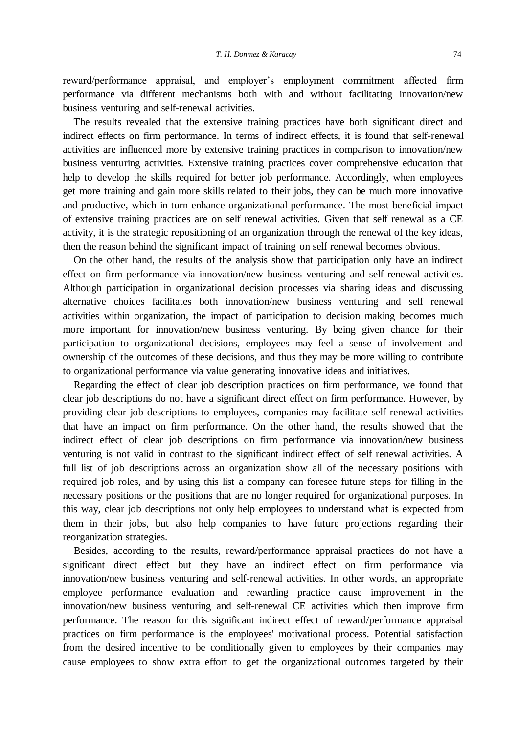reward/performance appraisal, and employer's employment commitment affected firm performance via different mechanisms both with and without facilitating innovation/new business venturing and self-renewal activities.

 The results revealed that the extensive training practices have both significant direct and indirect effects on firm performance. In terms of indirect effects, it is found that self-renewal activities are influenced more by extensive training practices in comparison to innovation/new business venturing activities. Extensive training practices cover comprehensive education that help to develop the skills required for better job performance. Accordingly, when employees get more training and gain more skills related to their jobs, they can be much more innovative and productive, which in turn enhance organizational performance. The most beneficial impact of extensive training practices are on self renewal activities. Given that self renewal as a CE activity, it is the strategic repositioning of an organization through the renewal of the key ideas, then the reason behind the significant impact of training on self renewal becomes obvious.

 On the other hand, the results of the analysis show that participation only have an indirect effect on firm performance via innovation/new business venturing and self-renewal activities. Although participation in organizational decision processes via sharing ideas and discussing alternative choices facilitates both innovation/new business venturing and self renewal activities within organization, the impact of participation to decision making becomes much more important for innovation/new business venturing. By being given chance for their participation to organizational decisions, employees may feel a sense of involvement and ownership of the outcomes of these decisions, and thus they may be more willing to contribute to organizational performance via value generating innovative ideas and initiatives.

 Regarding the effect of clear job description practices on firm performance, we found that clear job descriptions do not have a significant direct effect on firm performance. However, by providing clear job descriptions to employees, companies may facilitate self renewal activities that have an impact on firm performance. On the other hand, the results showed that the indirect effect of clear job descriptions on firm performance via innovation/new business venturing is not valid in contrast to the significant indirect effect of self renewal activities. A full list of job descriptions across an organization show all of the necessary positions with required job roles, and by using this list a company can foresee future steps for filling in the necessary positions or the positions that are no longer required for organizational purposes. In this way, clear job descriptions not only help employees to understand what is expected from them in their jobs, but also help companies to have future projections regarding their reorganization strategies.

 Besides, according to the results, reward/performance appraisal practices do not have a significant direct effect but they have an indirect effect on firm performance via innovation/new business venturing and self-renewal activities. In other words, an appropriate employee performance evaluation and rewarding practice cause improvement in the innovation/new business venturing and self-renewal CE activities which then improve firm performance. The reason for this significant indirect effect of reward/performance appraisal practices on firm performance is the employees' motivational process. Potential satisfaction from the desired incentive to be conditionally given to employees by their companies may cause employees to show extra effort to get the organizational outcomes targeted by their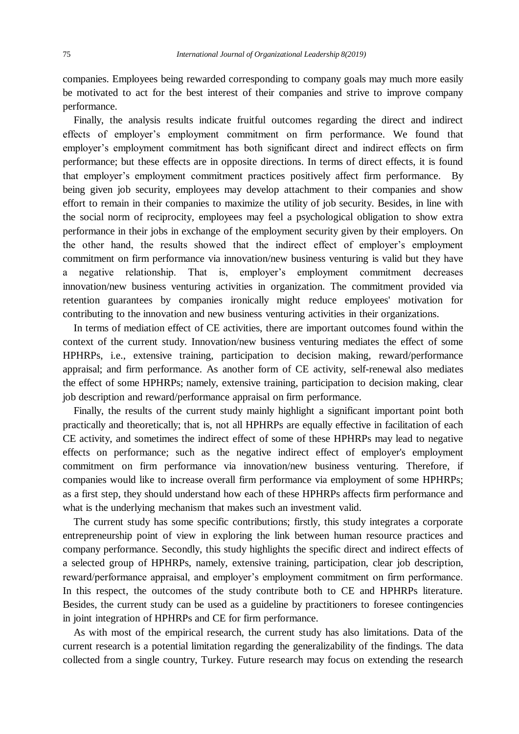companies. Employees being rewarded corresponding to company goals may much more easily be motivated to act for the best interest of their companies and strive to improve company performance.

 Finally, the analysis results indicate fruitful outcomes regarding the direct and indirect effects of employer's employment commitment on firm performance. We found that employer's employment commitment has both significant direct and indirect effects on firm performance; but these effects are in opposite directions. In terms of direct effects, it is found that employer's employment commitment practices positively affect firm performance. By being given job security, employees may develop attachment to their companies and show effort to remain in their companies to maximize the utility of job security. Besides, in line with the social norm of reciprocity, employees may feel a psychological obligation to show extra performance in their jobs in exchange of the employment security given by their employers. On the other hand, the results showed that the indirect effect of employer's employment commitment on firm performance via innovation/new business venturing is valid but they have a negative relationship. That is, employer's employment commitment decreases innovation/new business venturing activities in organization. The commitment provided via retention guarantees by companies ironically might reduce employees' motivation for contributing to the innovation and new business venturing activities in their organizations.

 In terms of mediation effect of CE activities, there are important outcomes found within the context of the current study. Innovation/new business venturing mediates the effect of some HPHRPs, i.e., extensive training, participation to decision making, reward/performance appraisal; and firm performance. As another form of CE activity, self-renewal also mediates the effect of some HPHRPs; namely, extensive training, participation to decision making, clear job description and reward/performance appraisal on firm performance.

 Finally, the results of the current study mainly highlight a significant important point both practically and theoretically; that is, not all HPHRPs are equally effective in facilitation of each CE activity, and sometimes the indirect effect of some of these HPHRPs may lead to negative effects on performance; such as the negative indirect effect of employer's employment commitment on firm performance via innovation/new business venturing. Therefore, if companies would like to increase overall firm performance via employment of some HPHRPs; as a first step, they should understand how each of these HPHRPs affects firm performance and what is the underlying mechanism that makes such an investment valid.

 The current study has some specific contributions; firstly, this study integrates a corporate entrepreneurship point of view in exploring the link between human resource practices and company performance. Secondly, this study highlights the specific direct and indirect effects of a selected group of HPHRPs, namely, extensive training, participation, clear job description, reward/performance appraisal, and employer's employment commitment on firm performance. In this respect, the outcomes of the study contribute both to CE and HPHRPs literature. Besides, the current study can be used as a guideline by practitioners to foresee contingencies in joint integration of HPHRPs and CE for firm performance.

 As with most of the empirical research, the current study has also limitations. Data of the current research is a potential limitation regarding the generalizability of the findings. The data collected from a single country, Turkey. Future research may focus on extending the research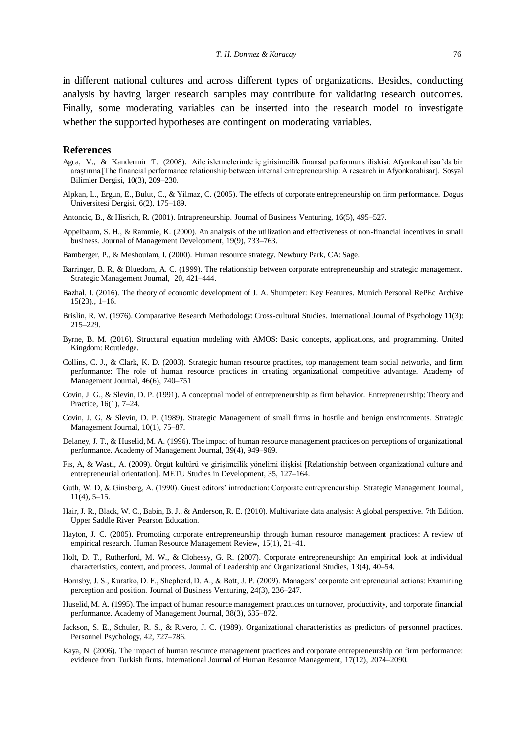in different national cultures and across different types of organizations. Besides, conducting analysis by having larger research samples may contribute for validating research outcomes. Finally, some moderating variables can be inserted into the research model to investigate whether the supported hypotheses are contingent on moderating variables.

#### **References**

- Agca, V., & Kandermir T. (2008). Aile isletmelerinde iç girisimcilik finansal performans iliskisi: Afyonkarahisar'da bir araştirma [The financial performance relationship between internal entrepreneurship: A research in Afyonkarahisar]. Sosyal Bilimler Dergisi, 10(3), 209–230.
- Alpkan, L., Ergun, E., Bulut, C., & Yilmaz, C. (2005). The effects of corporate entrepreneurship on firm performance. Dogus Universitesi Dergisi, 6(2), 175–189.
- Antoncic, B., & Hisrich, R. (2001). Intrapreneurship. Journal of Business Venturing, 16(5), 495–527.
- Appelbaum, S. H., & Rammie, K. (2000). An analysis of the utilization and effectiveness of non-financial incentives in small business. Journal of Management Development, 19(9), 733–763.
- Bamberger, P., & Meshoulam, I. (2000). Human resource strategy. Newbury Park, CA: Sage.
- Barringer, B. R, & Bluedorn, A. C. (1999). The relationship between corporate entrepreneurship and strategic management. Strategic Management Journal, 20, 421–444.
- Bazhal, I. (2016). The theory of economic development of J. A. Shumpeter: Key Features. Munich Personal RePEc Archive  $15(23)$ .,  $1-16$ .
- Brislin, R. W. (1976). Comparative Research Methodology: Cross-cultural Studies. International Journal of Psychology 11(3): 215–229.
- Byrne, B. M. (2016). Structural equation modeling with AMOS: Basic concepts, applications, and programming. United Kingdom: Routledge.
- Collins, C. J., & Clark, K. D. (2003). Strategic human resource practices, top management team social networks, and firm performance: The role of human resource practices in creating organizational competitive advantage. Academy of Management Journal, 46(6), 740–751
- Covin, J. G., & Slevin, D. P. (1991). A conceptual model of entrepreneurship as firm behavior. Entrepreneurship: Theory and Practice, 16(1), 7–24.
- Covin, J. G, & Slevin, D. P. (1989). Strategic Management of small firms in hostile and benign environments. Strategic Management Journal, 10(1), 75–87.
- Delaney, J. T., & Huselid, M. A. (1996). The impact of human resource management practices on perceptions of organizational performance. Academy of Management Journal, 39(4), 949–969.
- Fis, A, & Wasti, A. (2009). Örgüt kültürü ve girişimcilik yönelimi ilişkisi [Relationship between organizational culture and entrepreneurial orientation]. METU Studies in Development, 35, 127–164.
- Guth, W. D, & Ginsberg, A. (1990). Guest editors' introduction: Corporate entrepreneurship. Strategic Management Journal, 11(4), 5–15.
- Hair, J. R., Black, W. C., Babin, B. J., & Anderson, R. E. (2010). Multivariate data analysis: A global perspective. 7th Edition. Upper Saddle River: Pearson Education.
- Hayton, J. C. (2005). Promoting corporate entrepreneurship through human resource management practices: A review of empirical research. Human Resource Management Review, 15(1), 21–41.
- Holt, D. T., Rutherford, M. W., & Clohessy, G. R. (2007). Corporate entrepreneurship: An empirical look at individual characteristics, context, and process. Journal of Leadership and Organizational Studies, 13(4), 40–54.
- Hornsby, J. S., Kuratko, D. F., Shepherd, D. A., & Bott, J. P. (2009). Managers' corporate entrepreneurial actions: Examining perception and position. Journal of Business Venturing, 24(3), 236–247.
- Huselid, M. A. (1995). The impact of human resource management practices on turnover, productivity, and corporate financial performance. Academy of Management Journal, 38(3), 635–872.
- Jackson, S. E., Schuler, R. S., & Rivero, J. C. (1989). Organizational characteristics as predictors of personnel practices. Personnel Psychology, 42, 727–786.
- Kaya, N. (2006). The impact of human resource management practices and corporate entrepreneurship on firm performance: evidence from Turkish firms. International Journal of Human Resource Management, 17(12), 2074–2090.